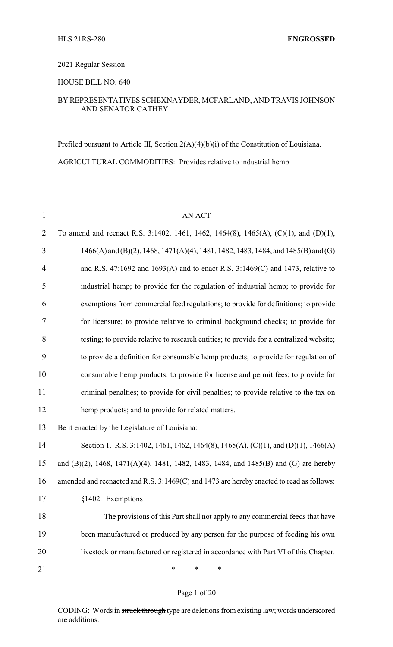### 2021 Regular Session

### HOUSE BILL NO. 640

### BY REPRESENTATIVES SCHEXNAYDER, MCFARLAND, AND TRAVIS JOHNSON AND SENATOR CATHEY

Prefiled pursuant to Article III, Section 2(A)(4)(b)(i) of the Constitution of Louisiana. AGRICULTURAL COMMODITIES: Provides relative to industrial hemp

| $\mathbf{1}$   | <b>AN ACT</b>                                                                            |
|----------------|------------------------------------------------------------------------------------------|
| $\overline{2}$ | To amend and reenact R.S. 3:1402, 1461, 1462, 1464(8), 1465(A), (C)(1), and (D)(1),      |
| 3              | $1466(A)$ and (B)(2), 1468, 1471(A)(4), 1481, 1482, 1483, 1484, and 1485(B) and (G)      |
| $\overline{4}$ | and R.S. 47:1692 and 1693(A) and to enact R.S. $3:1469(C)$ and 1473, relative to         |
| 5              | industrial hemp; to provide for the regulation of industrial hemp; to provide for        |
| 6              | exemptions from commercial feed regulations; to provide for definitions; to provide      |
| $\tau$         | for licensure; to provide relative to criminal background checks; to provide for         |
| 8              | testing; to provide relative to research entities; to provide for a centralized website; |
| 9              | to provide a definition for consumable hemp products; to provide for regulation of       |
| 10             | consumable hemp products; to provide for license and permit fees; to provide for         |
| 11             | criminal penalties; to provide for civil penalties; to provide relative to the tax on    |
| 12             | hemp products; and to provide for related matters.                                       |
| 13             | Be it enacted by the Legislature of Louisiana:                                           |
| 14             | Section 1. R.S. 3:1402, 1461, 1462, 1464(8), 1465(A), (C)(1), and (D)(1), 1466(A)        |
| 15             | and (B)(2), 1468, 1471(A)(4), 1481, 1482, 1483, 1484, and 1485(B) and (G) are hereby     |
| 16             | amended and reenacted and R.S. 3:1469(C) and 1473 are hereby enacted to read as follows: |
| 17             | §1402. Exemptions                                                                        |
| 18             | The provisions of this Part shall not apply to any commercial feeds that have            |
| 19             | been manufactured or produced by any person for the purpose of feeding his own           |
| 20             | livestock or manufactured or registered in accordance with Part VI of this Chapter.      |
| 21             | $\ast$<br>∗<br>*                                                                         |

#### Page 1 of 20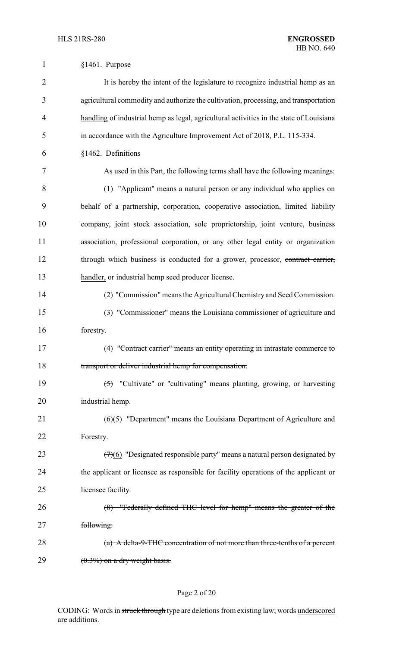| $\mathbf{1}$   | $§1461$ . Purpose                                                                         |
|----------------|-------------------------------------------------------------------------------------------|
| $\overline{2}$ | It is hereby the intent of the legislature to recognize industrial hemp as an             |
| 3              | agricultural commodity and authorize the cultivation, processing, and transportation      |
| 4              | handling of industrial hemp as legal, agricultural activities in the state of Louisiana   |
| 5              | in accordance with the Agriculture Improvement Act of 2018, P.L. 115-334.                 |
| 6              | §1462. Definitions                                                                        |
| 7              | As used in this Part, the following terms shall have the following meanings:              |
| 8              | (1) "Applicant" means a natural person or any individual who applies on                   |
| 9              | behalf of a partnership, corporation, cooperative association, limited liability          |
| 10             | company, joint stock association, sole proprietorship, joint venture, business            |
| 11             | association, professional corporation, or any other legal entity or organization          |
| 12             | through which business is conducted for a grower, processor, contract carrier,            |
| 13             | handler, or industrial hemp seed producer license.                                        |
| 14             | (2) "Commission" means the Agricultural Chemistry and Seed Commission.                    |
| 15             | (3) "Commissioner" means the Louisiana commissioner of agriculture and                    |
| 16             | forestry.                                                                                 |
| 17             | (4) "Contract carrier" means an entity operating in intrastate commerce to                |
| 18             | transport or deliver industrial hemp for compensation.                                    |
| 19             | $\overline{(5)}$ "Cultivate" or "cultivating" means planting, growing, or harvesting      |
| 20             | industrial hemp.                                                                          |
| 21             | $\left(\frac{6}{5}\right)$ "Department" means the Louisiana Department of Agriculture and |
| 22             | Forestry.                                                                                 |
| 23             | $(7)(6)$ "Designated responsible party" means a natural person designated by              |
| 24             | the applicant or licensee as responsible for facility operations of the applicant or      |
| 25             | licensee facility.                                                                        |
| 26             | (8) "Federally defined THC level for hemp" means the greater of the                       |
| 27             | following:                                                                                |
| 28             | $(a)$ A delta-9-THC concentration of not more than three-tenths of a percent              |
| 29             | $(0.3\%)$ on a dry weight basis.                                                          |

# Page 2 of 20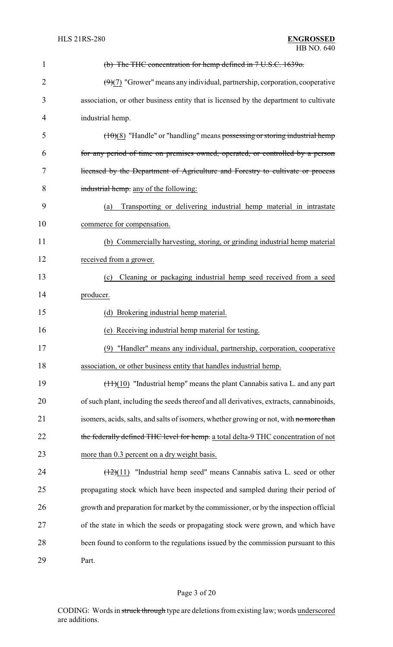| 1              | (b) The THC concentration for hemp defined in 7 U.S.C. 1639o.                              |
|----------------|--------------------------------------------------------------------------------------------|
| $\overline{2}$ | $(9)(7)$ "Grower" means any individual, partnership, corporation, cooperative              |
| 3              | association, or other business entity that is licensed by the department to cultivate      |
| 4              | industrial hemp.                                                                           |
| 5              | $(10)(8)$ "Handle" or "handling" means possessing or storing industrial hemp               |
| 6              | for any period of time on premises owned, operated, or controlled by a person              |
| 7              | licensed by the Department of Agriculture and Forestry to cultivate or process             |
| 8              | industrial hemp. any of the following:                                                     |
| 9              | Transporting or delivering industrial hemp material in intrastate<br>(a)                   |
| 10             | commerce for compensation.                                                                 |
| 11             | (b) Commercially harvesting, storing, or grinding industrial hemp material                 |
| 12             | received from a grower.                                                                    |
| 13             | Cleaning or packaging industrial hemp seed received from a seed<br>(c)                     |
| 14             | producer.                                                                                  |
| 15             | (d) Brokering industrial hemp material.                                                    |
| 16             | (e) Receiving industrial hemp material for testing.                                        |
| 17             | (9) "Handler" means any individual, partnership, corporation, cooperative                  |
| 18             | association, or other business entity that handles industrial hemp.                        |
| 19             | $(\pm 1)(10)$ "Industrial hemp" means the plant Cannabis sativa L. and any part            |
| 20             | of such plant, including the seeds thereof and all derivatives, extracts, cannabinoids,    |
| 21             | isomers, acids, salts, and salts of isomers, whether growing or not, with no more than     |
| 22             | the federally defined THC level for hemp. a total delta-9 THC concentration of not         |
| 23             | more than 0.3 percent on a dry weight basis.                                               |
| 24             | $\left(\frac{12}{11}\right)$ "Industrial hemp seed" means Cannabis sativa L. seed or other |
| 25             | propagating stock which have been inspected and sampled during their period of             |
| 26             | growth and preparation for market by the commissioner, or by the inspection official       |
| 27             | of the state in which the seeds or propagating stock were grown, and which have            |
| 28             | been found to conform to the regulations issued by the commission pursuant to this         |
| 29             | Part.                                                                                      |

# Page 3 of 20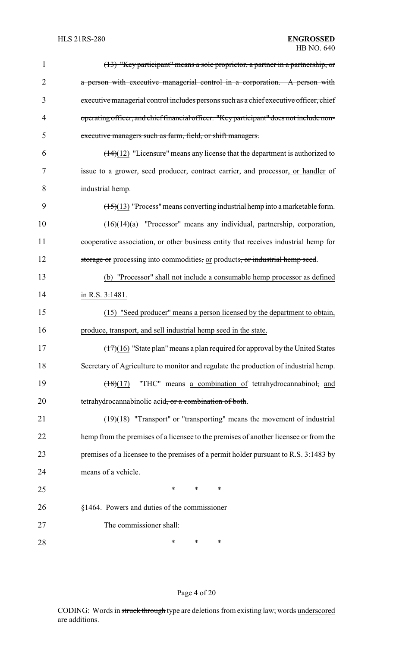| 1              | (13) "Key participant" means a sole proprietor, a partner in a partnership, or                  |
|----------------|-------------------------------------------------------------------------------------------------|
| $\overline{2}$ | a person with executive managerial control in a corporation. A person with                      |
| 3              | executive managerial control includes persons such as a chief executive officer, chief          |
| 4              | operating officer, and chief financial officer. "Key participant" does not include non-         |
| 5              | executive managers such as farm, field, or shift managers.                                      |
| 6              | $\left(\frac{14}{12}\right)$ "Licensure" means any license that the department is authorized to |
| 7              | issue to a grower, seed producer, contract carrier, and processor, or handler of                |
| 8              | industrial hemp.                                                                                |
| 9              | $(15)(13)$ "Process" means converting industrial hemp into a marketable form.                   |
| 10             | $(16)(14)(a)$ "Processor" means any individual, partnership, corporation,                       |
| 11             | cooperative association, or other business entity that receives industrial hemp for             |
| 12             | storage or processing into commodities, or products, or industrial hemp seed.                   |
| 13             | (b) "Processor" shall not include a consumable hemp processor as defined                        |
| 14             | in R.S. 3:1481.                                                                                 |
| 15             | (15) "Seed producer" means a person licensed by the department to obtain,                       |
| 16             | produce, transport, and sell industrial hemp seed in the state.                                 |
| 17             | $(17)(16)$ "State plan" means a plan required for approval by the United States                 |
| 18             | Secretary of Agriculture to monitor and regulate the production of industrial hemp.             |
| 19             | "THC" means a combination of tetrahydrocannabinol, and<br>(18)(17)                              |
| 20             | tetrahydrocannabinolic acid, or a combination of both.                                          |
| 21             | $\left(\frac{19}{18}\right)$ "Transport" or "transporting" means the movement of industrial     |
| 22             | hemp from the premises of a licensee to the premises of another licensee or from the            |
| 23             | premises of a licensee to the premises of a permit holder pursuant to R.S. 3:1483 by            |
| 24             | means of a vehicle.                                                                             |
| 25             | $\ast$<br>*<br>*                                                                                |
| 26             | §1464. Powers and duties of the commissioner                                                    |
| 27             | The commissioner shall:                                                                         |
| 28             | ∗<br>∗<br>∗                                                                                     |

# Page 4 of 20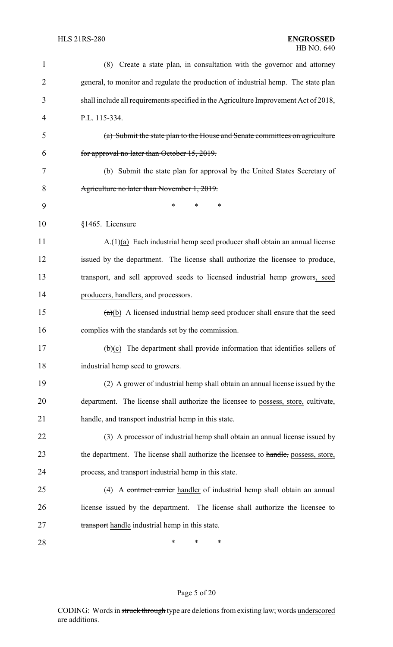| 1              | (8) Create a state plan, in consultation with the governor and attorney                        |
|----------------|------------------------------------------------------------------------------------------------|
| $\overline{2}$ | general, to monitor and regulate the production of industrial hemp. The state plan             |
| 3              | shall include all requirements specified in the Agriculture Improvement Act of 2018,           |
| 4              | P.L. 115-334.                                                                                  |
| 5              | (a) Submit the state plan to the House and Senate committees on agriculture                    |
| 6              | for approval no later than October 15, 2019.                                                   |
| 7              | (b) Submit the state plan for approval by the United States Secretary of                       |
| 8              | Agriculture no later than November 1, 2019.                                                    |
| 9              | *<br>*<br>∗                                                                                    |
| 10             | §1465. Licensure                                                                               |
| 11             | $A(1)(a)$ Each industrial hemp seed producer shall obtain an annual license                    |
| 12             | issued by the department. The license shall authorize the licensee to produce,                 |
| 13             | transport, and sell approved seeds to licensed industrial hemp growers, seed                   |
| 14             | producers, handlers, and processors.                                                           |
| 15             | $(a)(b)$ A licensed industrial hemp seed producer shall ensure that the seed                   |
| 16             | complies with the standards set by the commission.                                             |
| 17             | $\left(\frac{b}{c}\right)$ The department shall provide information that identifies sellers of |
| 18             | industrial hemp seed to growers.                                                               |
| 19             | (2) A grower of industrial hemp shall obtain an annual license issued by the                   |
| 20             | department. The license shall authorize the licensee to possess, store, cultivate,             |
| 21             | handle, and transport industrial hemp in this state.                                           |
| 22             | (3) A processor of industrial hemp shall obtain an annual license issued by                    |
| 23             | the department. The license shall authorize the licensee to handle, possess, store,            |
| 24             | process, and transport industrial hemp in this state.                                          |
| 25             | (4) A contract carrier handler of industrial hemp shall obtain an annual                       |
| 26             | license issued by the department. The license shall authorize the licensee to                  |
| 27             | transport handle industrial hemp in this state.                                                |
| 28             | ∗<br>∗<br>∗                                                                                    |

# Page 5 of 20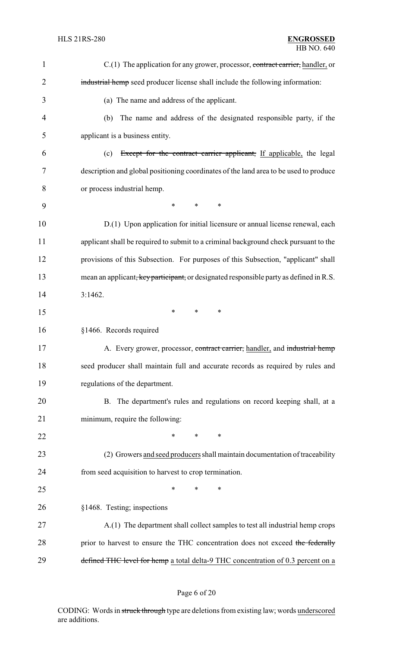| 1              | C.(1) The application for any grower, processor, contract carrier, handler, or         |
|----------------|----------------------------------------------------------------------------------------|
| $\overline{2}$ | industrial hemp seed producer license shall include the following information:         |
| 3              | (a) The name and address of the applicant.                                             |
| $\overline{4}$ | The name and address of the designated responsible party, if the<br>(b)                |
| 5              | applicant is a business entity.                                                        |
| 6              | Except for the contract carrier applicant, If applicable, the legal<br>(c)             |
| 7              | description and global positioning coordinates of the land area to be used to produce  |
| 8              | or process industrial hemp.                                                            |
| 9              | $\ast$<br>$\ast$<br>$\ast$                                                             |
| 10             | D.(1) Upon application for initial licensure or annual license renewal, each           |
| 11             | applicant shall be required to submit to a criminal background check pursuant to the   |
| 12             | provisions of this Subsection. For purposes of this Subsection, "applicant" shall      |
| 13             | mean an applicant, key participant, or designated responsible party as defined in R.S. |
| 14             | 3:1462.                                                                                |
| 15             | $\ast$<br>$\ast$<br>$\ast$                                                             |
| 16             | §1466. Records required                                                                |
| 17             | A. Every grower, processor, contract carrier, handler, and industrial hemp             |
| 18             | seed producer shall maintain full and accurate records as required by rules and        |
| 19             | regulations of the department.                                                         |
| 20             | B. The department's rules and regulations on record keeping shall, at a                |
| 21             | minimum, require the following:                                                        |
| 22             | *<br>$\ast$<br>∗                                                                       |
| 23             | (2) Growers and seed producers shall maintain documentation of traceability            |
| 24             | from seed acquisition to harvest to crop termination.                                  |
| 25             | $\ast$<br>∗<br>*                                                                       |
| 26             | §1468. Testing; inspections                                                            |
| 27             | A.(1) The department shall collect samples to test all industrial hemp crops           |
| 28             | prior to harvest to ensure the THC concentration does not exceed the federally         |
| 29             | defined THC level for hemp a total delta-9 THC concentration of 0.3 percent on a       |

# Page 6 of 20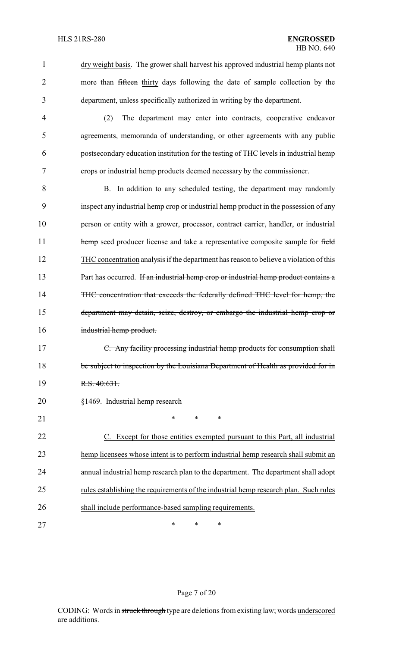1 dry weight basis. The grower shall harvest his approved industrial hemp plants not 2 more than fifteen thirty days following the date of sample collection by the 3 department, unless specifically authorized in writing by the department.

 (2) The department may enter into contracts, cooperative endeavor agreements, memoranda of understanding, or other agreements with any public postsecondary education institution for the testing of THC levels in industrial hemp crops or industrial hemp products deemed necessary by the commissioner.

8 B. In addition to any scheduled testing, the department may randomly 9 inspect any industrial hemp crop or industrial hemp product in the possession of any 10 person or entity with a grower, processor, contract carrier, handler, or industrial 11 hemp seed producer license and take a representative composite sample for field 12 THC concentration analysis if the department has reason to believe a violation of this 13 Part has occurred. If an industrial hemp crop or industrial hemp product contains a 14 THC concentration that exceeds the federally defined THC level for hemp, the 15 department may detain, seize, destroy, or embargo the industrial hemp crop or 16 industrial hemp product.

17 C. Any facility processing industrial hemp products for consumption shall 18 be subject to inspection by the Louisiana Department of Health as provided for in 19 R.S. 40:631.

### 20 §1469. Industrial hemp research

21 \* \* \* \*

 C. Except for those entities exempted pursuant to this Part, all industrial hemp licensees whose intent is to perform industrial hemp research shall submit an annual industrial hemp research plan to the department. The department shall adopt rules establishing the requirements of the industrial hemp research plan. Such rules shall include performance-based sampling requirements.

27 \* \* \* \*

### Page 7 of 20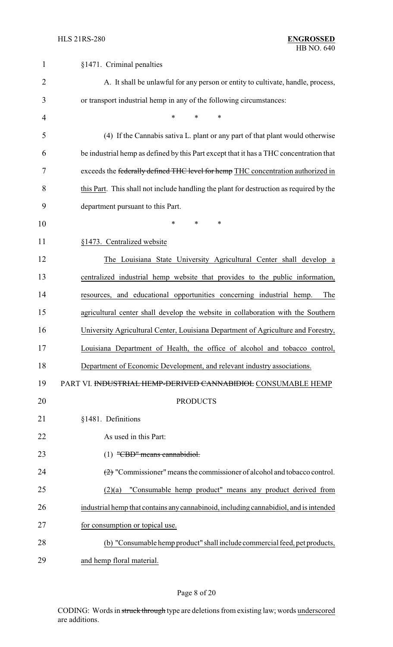| $\mathbf{1}$   | §1471. Criminal penalties                                                                        |
|----------------|--------------------------------------------------------------------------------------------------|
| $\overline{2}$ | A. It shall be unlawful for any person or entity to cultivate, handle, process,                  |
| 3              | or transport industrial hemp in any of the following circumstances:                              |
| $\overline{4}$ | $\ast$<br>*<br>*                                                                                 |
| 5              | (4) If the Cannabis sativa L. plant or any part of that plant would otherwise                    |
| 6              | be industrial hemp as defined by this Part except that it has a THC concentration that           |
| 7              | exceeds the federally defined THC level for hemp THC concentration authorized in                 |
| 8              | this Part. This shall not include handling the plant for destruction as required by the          |
| 9              | department pursuant to this Part.                                                                |
| 10             | *<br>$\ast$<br>*                                                                                 |
| 11             | §1473. Centralized website                                                                       |
| 12             | The Louisiana State University Agricultural Center shall develop a                               |
| 13             | centralized industrial hemp website that provides to the public information,                     |
| 14             | resources, and educational opportunities concerning industrial hemp.<br>The                      |
| 15             | agricultural center shall develop the website in collaboration with the Southern                 |
| 16             | University Agricultural Center, Louisiana Department of Agriculture and Forestry,                |
| 17             | Louisiana Department of Health, the office of alcohol and tobacco control,                       |
| 18             | Department of Economic Development, and relevant industry associations.                          |
| 19             | PART VI. INDUSTRIAL HEMP-DERIVED CANNABIDIOL CONSUMABLE HEMP                                     |
| 20             | <b>PRODUCTS</b>                                                                                  |
| 21             | §1481. Definitions                                                                               |
| 22             | As used in this Part:                                                                            |
| 23             | $(1)$ "CBD" means cannabidiol.                                                                   |
| 24             | $\left(\frac{2}{2}\right)$ "Commissioner" means the commissioner of alcohol and tobacco control. |
| 25             | "Consumable hemp product" means any product derived from<br>(2)(a)                               |
| 26             | industrial hemp that contains any cannabinoid, including cannabidiol, and is intended            |
| 27             | for consumption or topical use.                                                                  |
| 28             | (b) "Consumable hemp product" shall include commercial feed, pet products,                       |
| 29             | and hemp floral material.                                                                        |

# Page 8 of 20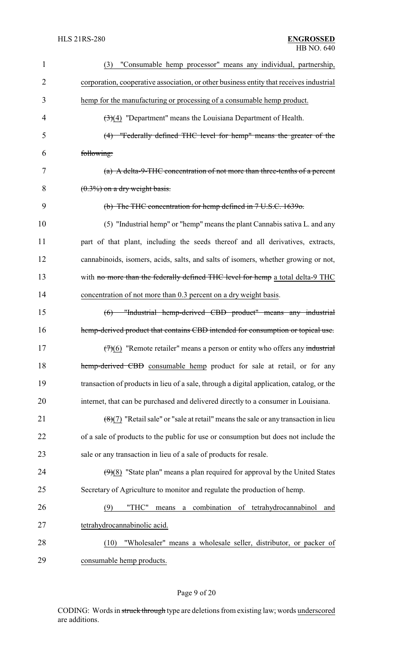| 1              | "Consumable hemp processor" means any individual, partnership,<br>(3)                     |
|----------------|-------------------------------------------------------------------------------------------|
| $\overline{2}$ | corporation, cooperative association, or other business entity that receives industrial   |
| 3              | hemp for the manufacturing or processing of a consumable hemp product.                    |
| 4              | $\left(\frac{1}{2}\right)(4)$ "Department" means the Louisiana Department of Health.      |
| 5              | (4) "Federally defined THC level for hemp" means the greater of the                       |
| 6              | following:                                                                                |
| 7              | (a) A delta-9-THC concentration of not more than three-tenths of a percent                |
| 8              | $(0.3\%)$ on a dry weight basis.                                                          |
| 9              | (b) The THC concentration for hemp defined in 7 U.S.C. 1639o.                             |
| 10             | (5) "Industrial hemp" or "hemp" means the plant Cannabis sativa L. and any                |
| 11             | part of that plant, including the seeds thereof and all derivatives, extracts,            |
| 12             | cannabinoids, isomers, acids, salts, and salts of isomers, whether growing or not,        |
| 13             | with no more than the federally defined THC level for hemp a total delta-9 THC            |
| 14             | concentration of not more than 0.3 percent on a dry weight basis.                         |
| 15             | (6) "Industrial hemp-derived CBD product" means any industrial                            |
| 16             | hemp-derived product that contains CBD intended for consumption or topical use.           |
| 17             | $(7)(6)$ "Remote retailer" means a person or entity who offers any industrial             |
| 18             | hemp-derived CBD consumable hemp product for sale at retail, or for any                   |
| 19             | transaction of products in lieu of a sale, through a digital application, catalog, or the |
| 20             | internet, that can be purchased and delivered directly to a consumer in Louisiana.        |
| 21             | $(8)(7)$ "Retail sale" or "sale at retail" means the sale or any transaction in lieu      |
| 22             | of a sale of products to the public for use or consumption but does not include the       |
| 23             | sale or any transaction in lieu of a sale of products for resale.                         |
| 24             | $(9)(8)$ "State plan" means a plan required for approval by the United States             |
| 25             | Secretary of Agriculture to monitor and regulate the production of hemp.                  |
| 26             | combination<br>(9)<br>"THC"<br>of tetrahydrocannabinol<br>means<br>and<br>a               |
| 27             | tetrahydrocannabinolic acid.                                                              |
| 28             | "Wholesaler" means a wholesale seller, distributor, or packer of<br>(10)                  |
| 29             | consumable hemp products.                                                                 |

# Page 9 of 20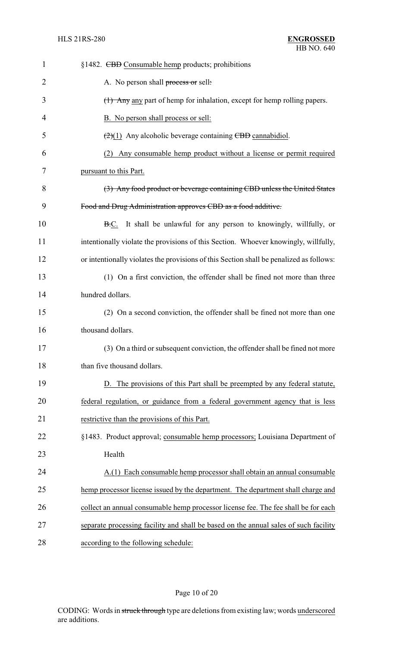| $\mathbf{1}$   | §1482. <del>CBD</del> Consumable hemp products; prohibitions                            |
|----------------|-----------------------------------------------------------------------------------------|
| $\overline{2}$ | A. No person shall process or sell:                                                     |
| 3              | (1) Any any part of hemp for inhalation, except for hemp rolling papers.                |
| 4              | B. No person shall process or sell:                                                     |
| 5              | $\left(\frac{2}{2}\right)(1)$ Any alcoholic beverage containing CBD cannabidiol.        |
| 6              | Any consumable hemp product without a license or permit required<br>(2)                 |
| 7              | pursuant to this Part.                                                                  |
| 8              | (3) Any food product or beverage containing CBD unless the United States                |
| 9              | Food and Drug Administration approves CBD as a food additive.                           |
| 10             | B.C. It shall be unlawful for any person to knowingly, willfully, or                    |
| 11             | intentionally violate the provisions of this Section. Whoever knowingly, willfully,     |
| 12             | or intentionally violates the provisions of this Section shall be penalized as follows: |
| 13             | (1) On a first conviction, the offender shall be fined not more than three              |
| 14             | hundred dollars.                                                                        |
| 15             | (2) On a second conviction, the offender shall be fined not more than one               |
| 16             | thousand dollars.                                                                       |
| 17             | (3) On a third or subsequent conviction, the offender shall be fined not more           |
| 18             | than five thousand dollars.                                                             |
| 19             | D. The provisions of this Part shall be preempted by any federal statute,               |
| 20             | federal regulation, or guidance from a federal government agency that is less           |
| 21             | restrictive than the provisions of this Part.                                           |
| 22             | §1483. Product approval; consumable hemp processors; Louisiana Department of            |
| 23             | Health                                                                                  |
| 24             | A.(1) Each consumable hemp processor shall obtain an annual consumable                  |
| 25             | hemp processor license issued by the department. The department shall charge and        |
| 26             | collect an annual consumable hemp processor license fee. The fee shall be for each      |
| 27             | separate processing facility and shall be based on the annual sales of such facility    |
| 28             | according to the following schedule:                                                    |

# Page 10 of 20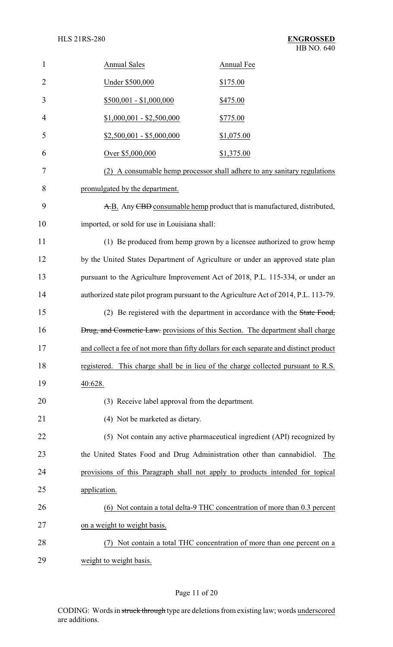| 1              | <b>Annual Sales</b>                             | Annual Fee                                                                              |
|----------------|-------------------------------------------------|-----------------------------------------------------------------------------------------|
| $\overline{2}$ | Under \$500,000                                 | \$175.00                                                                                |
| 3              | $$500,001 - $1,000,000$                         | \$475.00                                                                                |
| $\overline{4}$ | $$1,000,001 - $2,500,000$                       | \$775.00                                                                                |
| 5              | $$2,500,001 - $5,000,000$                       | \$1,075.00                                                                              |
| 6              | Over \$5,000,000                                | \$1,375.00                                                                              |
| 7              |                                                 | (2) A consumable hemp processor shall adhere to any sanitary regulations                |
| 8              | promulgated by the department.                  |                                                                                         |
| 9              |                                                 | A.B. Any CBD consumable hemp product that is manufactured, distributed,                 |
| 10             | imported, or sold for use in Louisiana shall:   |                                                                                         |
| 11             |                                                 | (1) Be produced from hemp grown by a licensee authorized to grow hemp                   |
| 12             |                                                 | by the United States Department of Agriculture or under an approved state plan          |
| 13             |                                                 | pursuant to the Agriculture Improvement Act of 2018, P.L. 115-334, or under an          |
| 14             |                                                 | authorized state pilot program pursuant to the Agriculture Act of 2014, P.L. 113-79.    |
| 15             |                                                 | (2) Be registered with the department in accordance with the State Food,                |
| 16             |                                                 | <b>Drug, and Cosmetic Law.</b> provisions of this Section. The department shall charge  |
| 17             |                                                 | and collect a fee of not more than fifty dollars for each separate and distinct product |
| 18             |                                                 | registered. This charge shall be in lieu of the charge collected pursuant to R.S.       |
| 19             | 40:628.                                         |                                                                                         |
| 20             | (3) Receive label approval from the department. |                                                                                         |
| 21             | (4) Not be marketed as dietary.                 |                                                                                         |
| 22             |                                                 | (5) Not contain any active pharmaceutical ingredient (API) recognized by                |
| 23             |                                                 | the United States Food and Drug Administration other than cannabidiol.<br>The           |
| 24             |                                                 | provisions of this Paragraph shall not apply to products intended for topical           |
| 25             | application.                                    |                                                                                         |
| 26             |                                                 | (6) Not contain a total delta-9 THC concentration of more than 0.3 percent              |
| 27             | on a weight to weight basis.                    |                                                                                         |
| 28             |                                                 | Not contain a total THC concentration of more than one percent on a                     |
| 29             | weight to weight basis.                         |                                                                                         |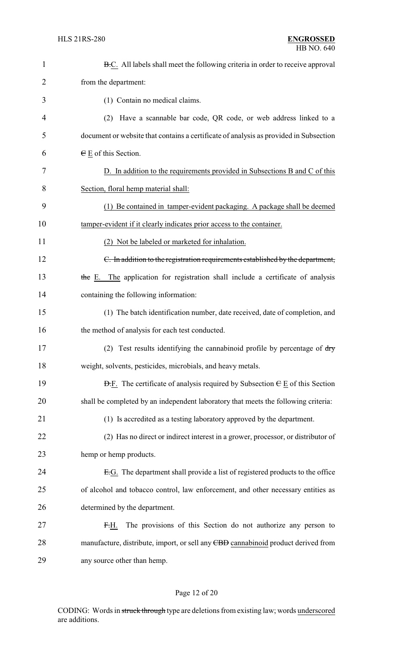| $\mathbf{1}$ | B.C. All labels shall meet the following criteria in order to receive approval                       |
|--------------|------------------------------------------------------------------------------------------------------|
| 2            | from the department:                                                                                 |
| 3            | (1) Contain no medical claims.                                                                       |
| 4            | Have a scannable bar code, QR code, or web address linked to a<br>(2)                                |
| 5            | document or website that contains a certificate of analysis as provided in Subsection                |
| 6            | $E$ E of this Section.                                                                               |
| 7            | D. In addition to the requirements provided in Subsections B and C of this                           |
| 8            | Section, floral hemp material shall:                                                                 |
| 9            | (1) Be contained in tamper-evident packaging. A package shall be deemed                              |
| 10           | tamper-evident if it clearly indicates prior access to the container.                                |
| 11           | (2) Not be labeled or marketed for inhalation.                                                       |
| 12           | C. In addition to the registration requirements established by the department,                       |
| 13           | the E. The application for registration shall include a certificate of analysis                      |
| 14           | containing the following information:                                                                |
| 15           | (1) The batch identification number, date received, date of completion, and                          |
| 16           | the method of analysis for each test conducted.                                                      |
| 17           | (2) Test results identifying the cannabinoid profile by percentage of $\frac{dy}{dx}$                |
| 18           | weight, solvents, pesticides, microbials, and heavy metals.                                          |
| 19           | $\overline{D}$ . The certificate of analysis required by Subsection $\overline{C}$ E of this Section |
| 20           | shall be completed by an independent laboratory that meets the following criteria:                   |
| 21           | (1) Is accredited as a testing laboratory approved by the department.                                |
| 22           | (2) Has no direct or indirect interest in a grower, processor, or distributor of                     |
| 23           | hemp or hemp products.                                                                               |
| 24           | E.G. The department shall provide a list of registered products to the office                        |
| 25           | of alcohol and tobacco control, law enforcement, and other necessary entities as                     |
| 26           | determined by the department.                                                                        |
| 27           | The provisions of this Section do not authorize any person to<br>F.H.                                |
| 28           | manufacture, distribute, import, or sell any CBD cannabinoid product derived from                    |
| 29           | any source other than hemp.                                                                          |

# Page 12 of 20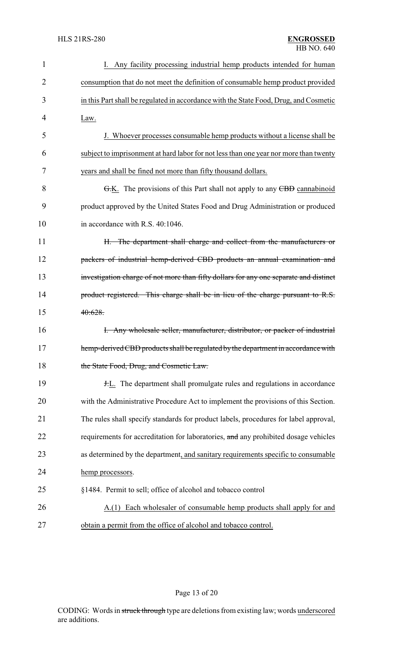| 1              | I. Any facility processing industrial hemp products intended for human                |
|----------------|---------------------------------------------------------------------------------------|
| $\overline{2}$ | consumption that do not meet the definition of consumable hemp product provided       |
| 3              | in this Part shall be regulated in accordance with the State Food, Drug, and Cosmetic |
| 4              | Law.                                                                                  |
| 5              | J. Whoever processes consumable hemp products without a license shall be              |
| 6              | subject to imprisonment at hard labor for not less than one year nor more than twenty |
| 7              | years and shall be fined not more than fifty thousand dollars.                        |
| 8              | G.K. The provisions of this Part shall not apply to any CBD cannabinoid               |
| 9              | product approved by the United States Food and Drug Administration or produced        |
| 10             | in accordance with R.S. 40:1046.                                                      |
| 11             | H. The department shall charge and collect from the manufacturers or                  |
| 12             | packers of industrial hemp-derived CBD products an annual examination and             |
| 13             | investigation charge of not more than fifty dollars for any one separate and distinct |
| 14             | product registered. This charge shall be in lieu of the charge pursuant to R.S.       |
| 15             | 40:628                                                                                |
| 16             | I. Any wholesale seller, manufacturer, distributor, or packer of industrial           |
| 17             | hemp-derived CBD products shall be regulated by the department in accordance with     |
| 18             | the State Food, Drug, and Cosmetic Law.                                               |
| 19             | <b>H.L.</b> The department shall promulgate rules and regulations in accordance       |
| 20             | with the Administrative Procedure Act to implement the provisions of this Section.    |
| 21             | The rules shall specify standards for product labels, procedures for label approval,  |
| 22             | requirements for accreditation for laboratories, and any prohibited dosage vehicles   |
| 23             | as determined by the department, and sanitary requirements specific to consumable     |
| 24             | hemp processors.                                                                      |
| 25             | §1484. Permit to sell; office of alcohol and tobacco control                          |
| 26             | Each wholesaler of consumable hemp products shall apply for and<br>A(1)               |
| 27             | obtain a permit from the office of alcohol and tobacco control.                       |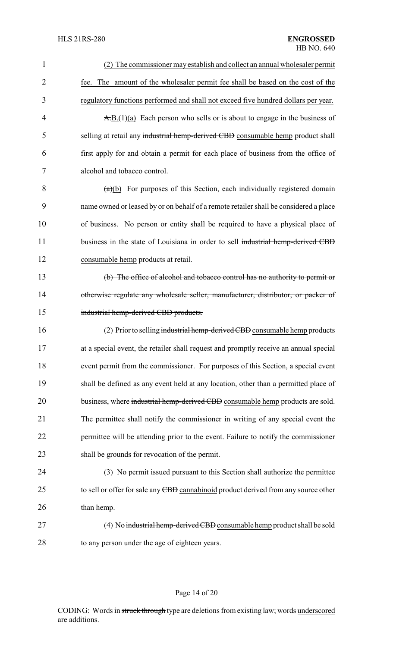| $\mathbf{1}$   | (2) The commissioner may establish and collect an annual wholesaler permit                                |
|----------------|-----------------------------------------------------------------------------------------------------------|
| $\overline{2}$ | fee. The amount of the wholesaler permit fee shall be based on the cost of the                            |
| 3              | regulatory functions performed and shall not exceed five hundred dollars per year.                        |
| 4              | $\overline{A}$ , $\overline{B}$ , $(1)(a)$ Each person who sells or is about to engage in the business of |
| 5              | selling at retail any industrial hemp-derived CBD consumable hemp product shall                           |
| 6              | first apply for and obtain a permit for each place of business from the office of                         |
| 7              | alcohol and tobacco control.                                                                              |
| 8              | $(a)(b)$ For purposes of this Section, each individually registered domain                                |
| 9              | name owned or leased by or on behalf of a remote retailer shall be considered a place                     |
| 10             | of business. No person or entity shall be required to have a physical place of                            |
| 11             | business in the state of Louisiana in order to sell industrial hemp-derived CBD                           |
| 12             | consumable hemp products at retail.                                                                       |
| 13             | (b) The office of alcohol and tobacco control has no authority to permit or                               |
| 14             | otherwise regulate any wholesale seller, manufacturer, distributor, or packer of                          |
| 15             | industrial hemp-derived CBD products.                                                                     |
| 16             | (2) Prior to selling industrial hemp-derived CBD consumable hemp products                                 |
| 17             | at a special event, the retailer shall request and promptly receive an annual special                     |
| 18             | event permit from the commissioner. For purposes of this Section, a special event                         |
| 19             | shall be defined as any event held at any location, other than a permitted place of                       |
| 20             | business, where industrial hemp-derived CBD consumable hemp products are sold.                            |
| 21             | The permittee shall notify the commissioner in writing of any special event the                           |
| 22             | permittee will be attending prior to the event. Failure to notify the commissioner                        |
| 23             | shall be grounds for revocation of the permit.                                                            |
| 24             | (3) No permit issued pursuant to this Section shall authorize the permittee                               |
| 25             | to sell or offer for sale any CBD cannabinoid product derived from any source other                       |
| 26             | than hemp.                                                                                                |
| 27             | (4) No industrial hemp-derived CBD consumable hemp product shall be sold                                  |
| 28             | to any person under the age of eighteen years.                                                            |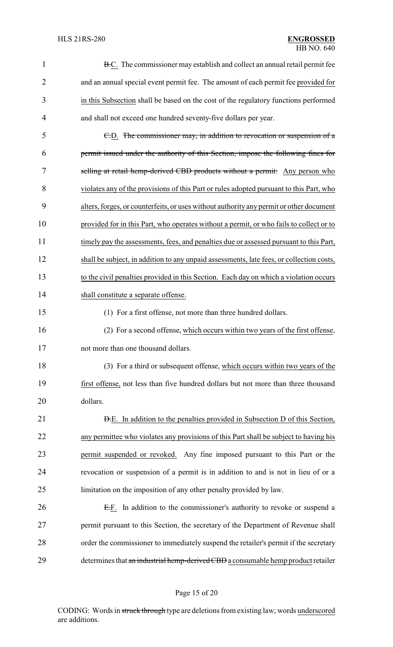| 1              | <b>B.C.</b> The commissioner may establish and collect an annual retail permit fee       |
|----------------|------------------------------------------------------------------------------------------|
| $\overline{2}$ | and an annual special event permit fee. The amount of each permit fee provided for       |
| 3              | in this Subsection shall be based on the cost of the regulatory functions performed      |
| 4              | and shall not exceed one hundred seventy-five dollars per year.                          |
| 5              | E.D. The commissioner may, in addition to revocation or suspension of a                  |
| 6              | permit issued under the authority of this Section, impose the following fines for        |
| 7              | selling at retail hemp-derived CBD products without a permit: Any person who             |
| 8              | violates any of the provisions of this Part or rules adopted pursuant to this Part, who  |
| 9              | alters, forges, or counterfeits, or uses without authority any permit or other document  |
| 10             | provided for in this Part, who operates without a permit, or who fails to collect or to  |
| 11             | timely pay the assessments, fees, and penalties due or assessed pursuant to this Part,   |
| 12             | shall be subject, in addition to any unpaid assessments, late fees, or collection costs, |
| 13             | to the civil penalties provided in this Section. Each day on which a violation occurs    |
| 14             | shall constitute a separate offense.                                                     |
| 15             | (1) For a first offense, not more than three hundred dollars.                            |
| 16             | (2) For a second offense, which occurs within two years of the first offense,            |
| 17             | not more than one thousand dollars.                                                      |
| 18             | (3) For a third or subsequent offense, which occurs within two years of the              |
| 19             | first offense, not less than five hundred dollars but not more than three thousand       |
| 20             | dollars.                                                                                 |
| 21             | <b>D.E.</b> In addition to the penalties provided in Subsection D of this Section,       |
| 22             | any permittee who violates any provisions of this Part shall be subject to having his    |
| 23             | permit suspended or revoked. Any fine imposed pursuant to this Part or the               |
| 24             | revocation or suspension of a permit is in addition to and is not in lieu of or a        |
| 25             | limitation on the imposition of any other penalty provided by law.                       |
| 26             | E.F. In addition to the commissioner's authority to revoke or suspend a                  |
| 27             | permit pursuant to this Section, the secretary of the Department of Revenue shall        |
| 28             | order the commissioner to immediately suspend the retailer's permit if the secretary     |
| 29             | determines that an industrial hemp-derived CBD a consumable hemp product retailer        |

Page 15 of 20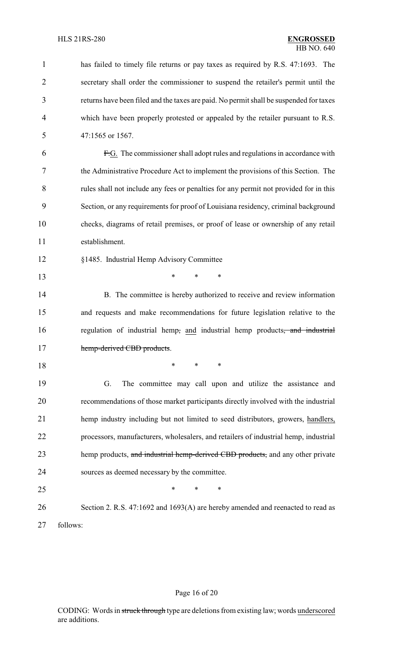| $\mathbf{1}$   | has failed to timely file returns or pay taxes as required by R.S. 47:1693. The        |
|----------------|----------------------------------------------------------------------------------------|
| $\overline{2}$ | secretary shall order the commissioner to suspend the retailer's permit until the      |
| 3              | returns have been filed and the taxes are paid. No permit shall be suspended for taxes |
| $\overline{4}$ | which have been properly protested or appealed by the retailer pursuant to R.S.        |
| 5              | 47:1565 or 1567.                                                                       |
| 6              | F.G. The commissioner shall adopt rules and regulations in accordance with             |
| 7              | the Administrative Procedure Act to implement the provisions of this Section. The      |
| 8              | rules shall not include any fees or penalties for any permit not provided for in this  |
| 9              | Section, or any requirements for proof of Louisiana residency, criminal background     |
| 10             | checks, diagrams of retail premises, or proof of lease or ownership of any retail      |
| 11             | establishment.                                                                         |
| 12             | §1485. Industrial Hemp Advisory Committee                                              |
| 13             | ∗<br>∗<br>*                                                                            |
| 14             | B. The committee is hereby authorized to receive and review information                |
| 15             | and requests and make recommendations for future legislation relative to the           |
| 16             | regulation of industrial hemp, and industrial hemp products, and industrial            |
| 17             | hemp-derived CBD products.                                                             |
| 18             | ∗<br>∗<br>*                                                                            |
| 19             | The committee may call upon and utilize the assistance and<br>G.                       |
| 20             | recommendations of those market participants directly involved with the industrial     |
| 21             | hemp industry including but not limited to seed distributors, growers, handlers,       |
| 22             | processors, manufacturers, wholesalers, and retailers of industrial hemp, industrial   |
| 23             | hemp products, and industrial hemp-derived CBD products, and any other private         |
| 24             | sources as deemed necessary by the committee.                                          |
| 25             | ∗<br>*<br>∗                                                                            |
| 26             | Section 2. R.S. 47:1692 and 1693(A) are hereby amended and reenacted to read as        |
| 27             | follows:                                                                               |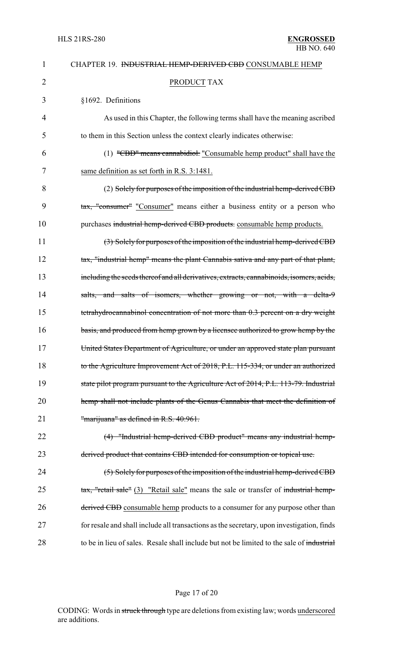| 1              | CHAPTER 19. <del>INDUSTRIAL HEMP-DERIVED CBD</del> CONSUMABLE HEMP                        |
|----------------|-------------------------------------------------------------------------------------------|
| $\overline{2}$ | <b>PRODUCT TAX</b>                                                                        |
| 3              | §1692. Definitions                                                                        |
| 4              | As used in this Chapter, the following terms shall have the meaning ascribed              |
| 5              | to them in this Section unless the context clearly indicates otherwise:                   |
| 6              | $(1)$ "CBD" means cannabidiol. "Consumable hemp product" shall have the                   |
| 7              | same definition as set forth in R.S. 3:1481.                                              |
| 8              | (2) Solely for purposes of the imposition of the industrial hemp-derived CBD              |
| 9              | tax, "consumer" "Consumer" means either a business entity or a person who                 |
| 10             | purchases industrial hemp-derived CBD products. consumable hemp products.                 |
| 11             | (3) Solely for purposes of the imposition of the industrial hemp-derived CBD              |
| 12             | tax, "industrial hemp" means the plant Cannabis sativa and any part of that plant,        |
| 13             | including the seeds thereof and all derivatives, extracts, cannabinoids, isomers, acids,  |
| 14             | salts, and salts of isomers, whether growing or not, with a delta-9                       |
| 15             | tetrahydrocannabinol concentration of not more than 0.3 percent on a dry weight           |
| 16             | basis, and produced from hemp grown by a licensee authorized to grow hemp by the          |
| 17             | United States Department of Agriculture, or under an approved state plan pursuant         |
| 18             | to the Agriculture Improvement Act of 2018, P.L. 115-334, or under an authorized          |
| 19             | state pilot program pursuant to the Agriculture Act of 2014, P.L. 113-79. Industrial      |
| 20             | hemp shall not include plants of the Genus Cannabis that meet the definition of           |
| 21             | "marijuana" as defined in R.S. 40:961.                                                    |
| 22             | (4) "Industrial hemp-derived CBD product" means any industrial hemp-                      |
| 23             | derived product that contains CBD intended for consumption or topical use.                |
| 24             | $(5)$ Solely for purposes of the imposition of the industrial hemp-derived CBD            |
| 25             | tax, "retail sale" (3) "Retail sale" means the sale or transfer of industrial hemp-       |
| 26             | derived CBD consumable hemp products to a consumer for any purpose other than             |
| 27             | for resale and shall include all transactions as the secretary, upon investigation, finds |
| 28             | to be in lieu of sales. Resale shall include but not be limited to the sale of industrial |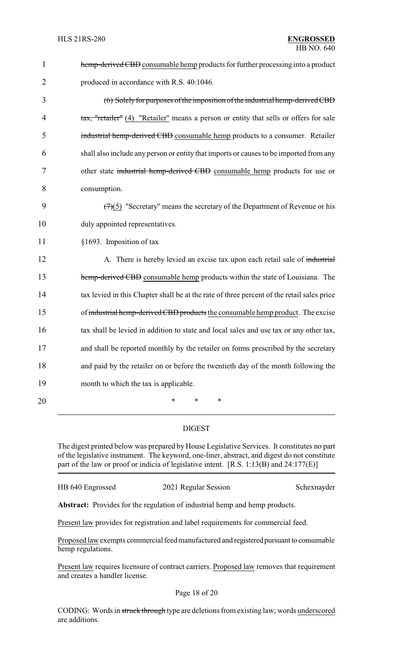| $\mathbf{1}$   | hemp-derived CBD consumable hemp products for further processing into a product            |
|----------------|--------------------------------------------------------------------------------------------|
| $\overline{2}$ | produced in accordance with R.S. 40:1046.                                                  |
| 3              | (6) Solely for purposes of the imposition of the industrial hemp-derived CBD               |
| 4              | tax, "retailer" (4) "Retailer" means a person or entity that sells or offers for sale      |
| 5              | industrial hemp-derived CBD consumable hemp products to a consumer. Retailer               |
| 6              | shall also include any person or entity that imports or causes to be imported from any     |
| 7              | other state industrial hemp-derived CBD consumable hemp products for use or                |
| 8              | consumption.                                                                               |
| 9              | $(7)(5)$ "Secretary" means the secretary of the Department of Revenue or his               |
| 10             | duly appointed representatives.                                                            |
| 11             | §1693. Imposition of tax                                                                   |
| 12             | A. There is hereby levied an excise tax upon each retail sale of industrial                |
| 13             | hemp-derived CBD consumable hemp products within the state of Louisiana. The               |
| 14             | tax levied in this Chapter shall be at the rate of three percent of the retail sales price |
| 15             | of industrial hemp-derived CBD products the consumable hemp product. The excise            |
| 16             | tax shall be levied in addition to state and local sales and use tax or any other tax,     |
| 17             | and shall be reported monthly by the retailer on forms prescribed by the secretary         |
| 18             | and paid by the retailer on or before the twentieth day of the month following the         |
| 19             | month to which the tax is applicable.                                                      |
| 20             | ∗<br>$\ast$<br>∗                                                                           |

### DIGEST

The digest printed below was prepared by House Legislative Services. It constitutes no part of the legislative instrument. The keyword, one-liner, abstract, and digest do not constitute part of the law or proof or indicia of legislative intent. [R.S. 1:13(B) and 24:177(E)]

| HB 640 Engrossed | 2021 Regular Session |
|------------------|----------------------|
|                  |                      |

Schexnayder

**Abstract:** Provides for the regulation of industrial hemp and hemp products.

Present law provides for registration and label requirements for commercial feed.

Proposed law exempts commercial feed manufactured and registered pursuant to consumable hemp regulations.

Present law requires licensure of contract carriers. Proposed law removes that requirement and creates a handler license.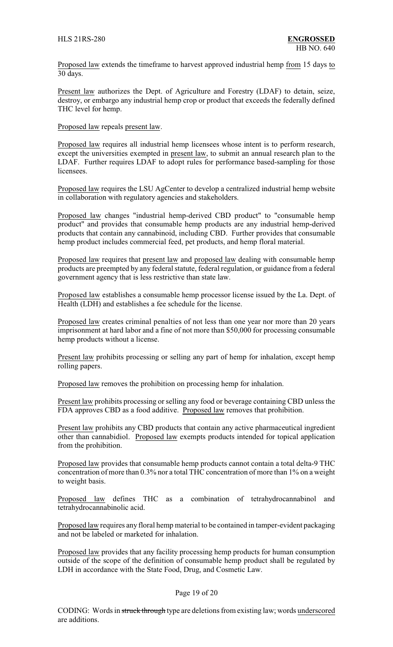Proposed law extends the timeframe to harvest approved industrial hemp from 15 days to 30 days.

Present law authorizes the Dept. of Agriculture and Forestry (LDAF) to detain, seize, destroy, or embargo any industrial hemp crop or product that exceeds the federally defined THC level for hemp.

Proposed law repeals present law.

Proposed law requires all industrial hemp licensees whose intent is to perform research, except the universities exempted in present law, to submit an annual research plan to the LDAF. Further requires LDAF to adopt rules for performance based-sampling for those licensees.

Proposed law requires the LSU AgCenter to develop a centralized industrial hemp website in collaboration with regulatory agencies and stakeholders.

Proposed law changes "industrial hemp-derived CBD product" to "consumable hemp product" and provides that consumable hemp products are any industrial hemp-derived products that contain any cannabinoid, including CBD. Further provides that consumable hemp product includes commercial feed, pet products, and hemp floral material.

Proposed law requires that present law and proposed law dealing with consumable hemp products are preempted by any federal statute, federal regulation, or guidance from a federal government agency that is less restrictive than state law.

Proposed law establishes a consumable hemp processor license issued by the La. Dept. of Health (LDH) and establishes a fee schedule for the license.

Proposed law creates criminal penalties of not less than one year nor more than 20 years imprisonment at hard labor and a fine of not more than \$50,000 for processing consumable hemp products without a license.

Present law prohibits processing or selling any part of hemp for inhalation, except hemp rolling papers.

Proposed law removes the prohibition on processing hemp for inhalation.

Present law prohibits processing or selling any food or beverage containing CBD unless the FDA approves CBD as a food additive. Proposed law removes that prohibition.

Present law prohibits any CBD products that contain any active pharmaceutical ingredient other than cannabidiol. Proposed law exempts products intended for topical application from the prohibition.

Proposed law provides that consumable hemp products cannot contain a total delta-9 THC concentration of more than 0.3% nor a total THC concentration of more than 1% on a weight to weight basis.

Proposed law defines THC as a combination of tetrahydrocannabinol and tetrahydrocannabinolic acid.

Proposed law requires any floral hemp material to be contained in tamper-evident packaging and not be labeled or marketed for inhalation.

Proposed law provides that any facility processing hemp products for human consumption outside of the scope of the definition of consumable hemp product shall be regulated by LDH in accordance with the State Food, Drug, and Cosmetic Law.

### Page 19 of 20